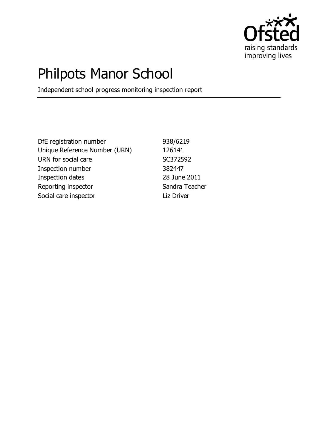

# Philpots Manor School

Independent school progress monitoring inspection report

DfE registration number 938/6219 Unique Reference Number (URN) 126141 URN for social care SC372592 Inspection number 382447 Inspection dates 28 June 2011 Reporting inspector Sandra Teacher Social care inspector and Liz Driver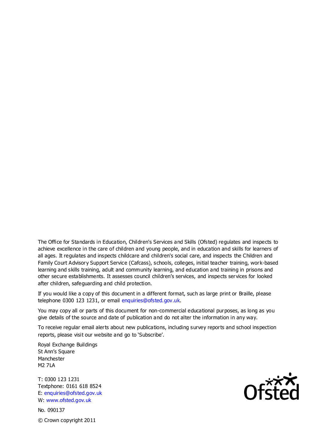The Office for Standards in Education, Children's Services and Skills (Ofsted) regulates and inspects to achieve excellence in the care of children and young people, and in education and skills for learners of all ages. It regulates and inspects childcare and children's social care, and inspects the Children and Family Court Advisory Support Service (Cafcass), schools, colleges, initial teacher training, work-based learning and skills training, adult and community learning, and education and training in prisons and other secure establishments. It assesses council children's services, and inspects services for looked after children, safeguarding and child protection.

If you would like a copy of this document in a different format, such as large print or Braille, please telephone 0300 123 1231, or email enquiries@ofsted.gov.uk.

You may copy all or parts of this document for non-commercial educational purposes, as long as you give details of the source and date of publication and do not alter the information in any way.

To receive regular email alerts about new publications, including survey reports and school inspection reports, please visit our website and go to 'Subscribe'.

Royal Exchange Buildings St Ann's Square Manchester M2 7LA

T: 0300 123 1231 Textphone: 0161 618 8524 E: enquiries@ofsted.gov.uk W: www.ofsted.gov.uk

No. 090137 © Crown copyright 2011

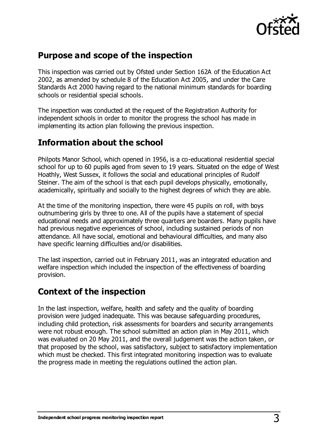

### **Purpose and scope of the inspection**

This inspection was carried out by Ofsted under Section 162A of the Education Act 2002, as amended by schedule 8 of the Education Act 2005, and under the Care Standards Act 2000 having regard to the national minimum standards for boarding schools or residential special schools.

The inspection was conducted at the request of the Registration Authority for independent schools in order to monitor the progress the school has made in implementing its action plan following the previous inspection.

#### **Information about the school**

Philpots Manor School, which opened in 1956, is a co-educational residential special school for up to 60 pupils aged from seven to 19 years. Situated on the edge of West Hoathly, West Sussex, it follows the social and educational principles of Rudolf Steiner. The aim of the school is that each pupil develops physically, emotionally, academically, spiritually and socially to the highest degrees of which they are able.

At the time of the monitoring inspection, there were 45 pupils on roll, with boys outnumbering girls by three to one. All of the pupils have a statement of special educational needs and approximately three quarters are boarders. Many pupils have had previous negative experiences of school, including sustained periods of non attendance. All have social, emotional and behavioural difficulties, and many also have specific learning difficulties and/or disabilities.

The last inspection, carried out in February 2011, was an integrated education and welfare inspection which included the inspection of the effectiveness of boarding provision.

#### **Context of the inspection**

In the last inspection, welfare, health and safety and the quality of boarding provision were judged inadequate. This was because safeguarding procedures, including child protection, risk assessments for boarders and security arrangements were not robust enough. The school submitted an action plan in May 2011, which was evaluated on 20 May 2011, and the overall judgement was the action taken, or that proposed by the school, was satisfactory, subject to satisfactory implementation which must be checked. This first integrated monitoring inspection was to evaluate the progress made in meeting the regulations outlined the action plan.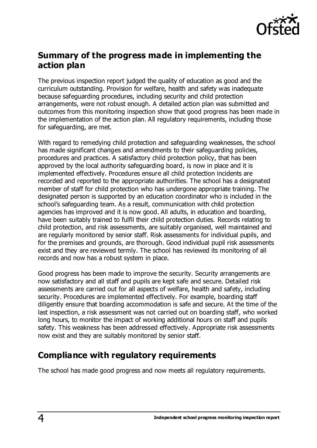

#### **Summary of the progress made in implementing the action plan**

The previous inspection report judged the quality of education as good and the curriculum outstanding. Provision for welfare, health and safety was inadequate because safeguarding procedures, including security and child protection arrangements, were not robust enough. A detailed action plan was submitted and outcomes from this monitoring inspection show that good progress has been made in the implementation of the action plan. All regulatory requirements, including those for safeguarding, are met.

With regard to remedying child protection and safeguarding weaknesses, the school has made significant changes and amendments to their safeguarding policies, procedures and practices. A satisfactory child protection policy, that has been approved by the local authority safeguarding board, is now in place and it is implemented effectively. Procedures ensure all child protection incidents are recorded and reported to the appropriate authorities. The school has a designated member of staff for child protection who has undergone appropriate training. The designated person is supported by an education coordinator who is included in the school's safeguarding team. As a result, communication with child protection agencies has improved and it is now good. All adults, in education and boarding, have been suitably trained to fulfil their child protection duties. Records relating to child protection, and risk assessments, are suitably organised, well maintained and are regularly monitored by senior staff. Risk assessments for individual pupils, and for the premises and grounds, are thorough. Good individual pupil risk assessments exist and they are reviewed termly. The school has reviewed its monitoring of all records and now has a robust system in place.

Good progress has been made to improve the security. Security arrangements are now satisfactory and all staff and pupils are kept safe and secure. Detailed risk assessments are carried out for all aspects of welfare, health and safety, including security. Procedures are implemented effectively. For example, boarding staff diligently ensure that boarding accommodation is safe and secure. At the time of the last inspection, a risk assessment was not carried out on boarding staff, who worked long hours, to monitor the impact of working additional hours on staff and pupils safety. This weakness has been addressed effectively. Appropriate risk assessments now exist and they are suitably monitored by senior staff.

## **Compliance with regulatory requirements**

The school has made good progress and now meets all regulatory requirements.